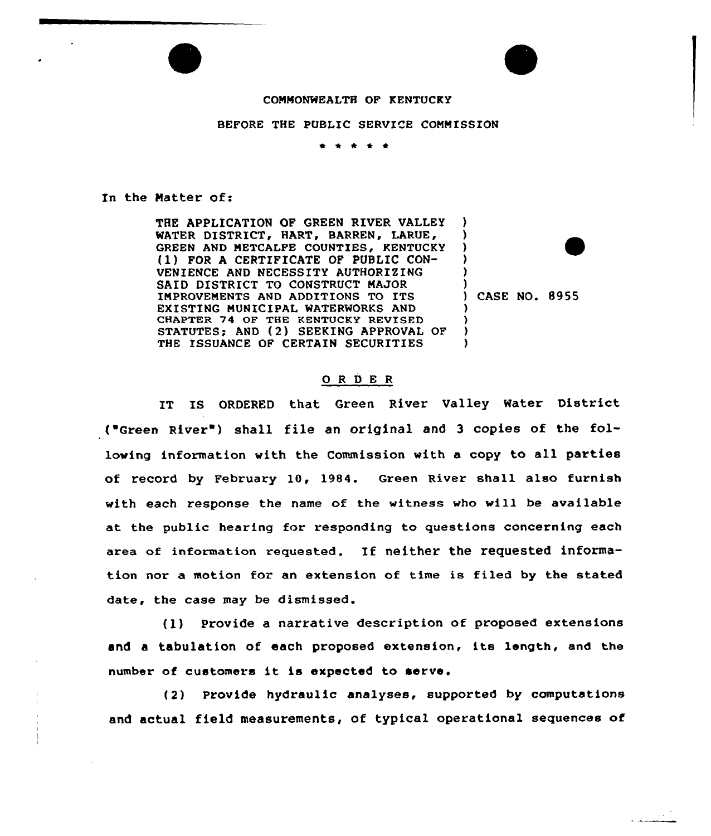## COMMONWEALTH OF KENTUCKY

## BEFORE THE PUBLIC SERVICE COMMISSION

\* \*

In the Matter of:

THE APPLICATION OF GREEN RIVER VALLEY WATER DISTRICT, HART, BARREN, LARUE, GREEN AND METCALFE COUNTIES, KENTUCKY (1) FOR <sup>A</sup> CERTIFICATE OF PUBLIC CON-VENIENCE AND NECESSITY AUTHORIZING SAID DISTRICT TO CONSTRUCT MAJOR IMPROVEMENTS AND ADDITIONS TO ITS EXISTING MUNICIPAL WATERWORKS AND CHAPTER 74 OF THE KENTUCKY REVISED STATUTES; AND (2) SEEKING APPROVAL OF THE ISSUANCE OF CERTAIN SECURITIES

)<br>) CASE NO. 8955

) ) 3 )

> ) ) ) )

## ORDER

IT IS ORDERED that Green River Valley Mater District ("Green River") shall file an original and 3 copies of the following information with the Commission with a copy to all parties of record by February 10, 19S4. Green River shall also furnish with each response the name of the witness who will be available at the public hearing for responding to questions concerning each area of information requested. If neither the requested information nor a motion for an extension of time is filed by the stated date, the case may be dismissed.

(1) Provide <sup>a</sup> narrative description of proposed extensions and <sup>a</sup> tabulation of each proposed extension, its length, and the number of customers it is expected to serve.

(2) Provide hydraulic analyses, supported by computations and actual field measurements, of typical operational sequences of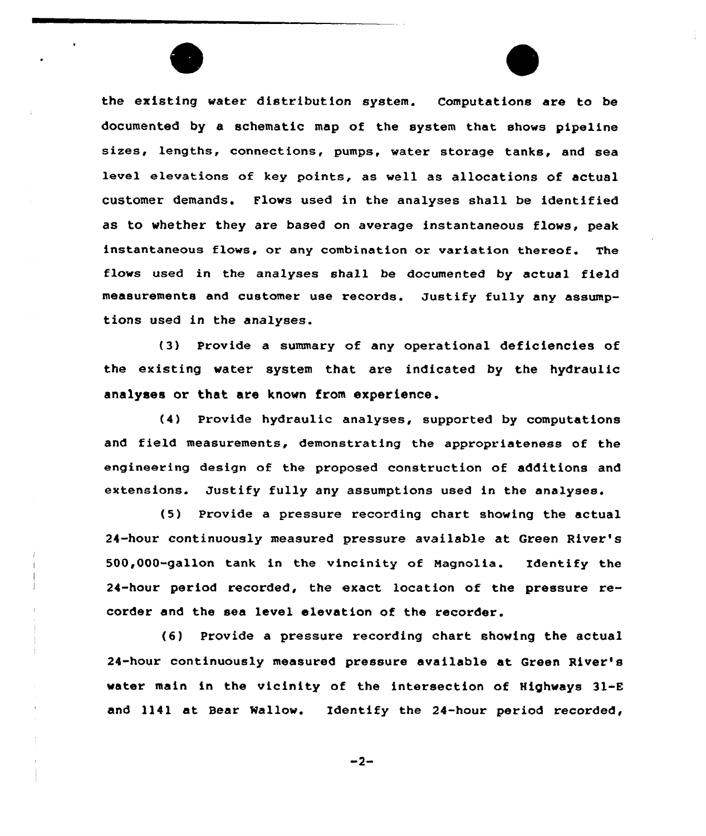the existing water distribution system. Computations are to be documented by a schematic map of the system that shows pipeline sizes, lengths, connections, pumps, water storage tanks, and sea level elevations of key points, as well as allocations of actual customer demands. Flows used in the analyses shall be identified as to whether they are based on average instantaneous flows, peak instantaneous flows, or any combination or variation thereof. The flows used in the analyses shall be documented by actual field measurements and customer use records. Justify fully any assumptions used in the analyses.

(3) Provide a summary of any operational deficiencies of the existing water system that are indicated by the hydraulic analyses or that are known from experience.

(4) Provide hydraulic analyses, supported by computations and field measurements, demonstrating the appropriateness of the engineering design of the proposed construction of additions and extensions. Justify fully any assumptions used in the analyses.

(5) Provide a pressure recording chart showing the actual 24-hour continuously measured pressure available at Green River's 500,000-gallon tank in the vincinity of Nagnolia. Identify the 24-hour period recorded, the exact location of the pressure recorder and the sea level elevation of the recorder.

(6) Provide a pressure recording chart showing the actual 24-hour continuously measured pressure available at Green River's water main in the vicinity of the intersection of Highways 31-E and 1141 at Bear Mallow. Identify the 24-hour period recorded,

 $-2-$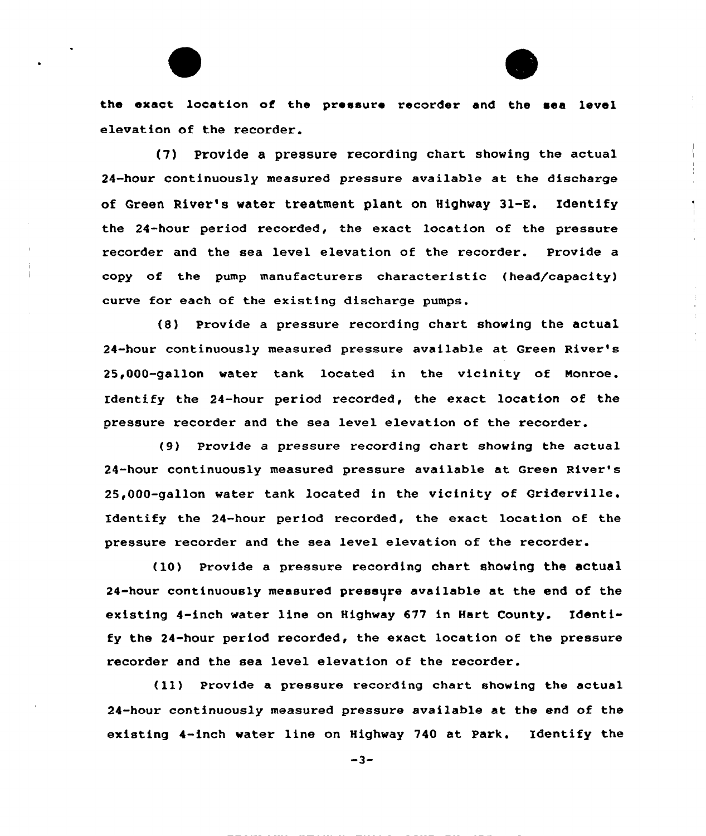the exact location of the pressure recorder and the sea level elevation of the recorder.

(7) Provide a pressure recording chart showing the actual 24-hour continuously measured pressure available at the discharge of Green River's water treatment plant on Highway 31-E. Identify the 24-hour period recorded, the exact location of the pressure recorder and the sea level elevation of the recorder. Provide a copy of the pump manufacturers characteristic (head/capacity) curve for each of the existing discharge pumps.

(8) Provide a pressure recording chart showing the actual 24-hour continuously measured pressure available at Green River''s 25,000-gallon water tank located in the vicinity of Monroe. Identify the 24-hour period recorded, the exact location of the pressure recorder and the sea level elevation of the recorder.

(9) Provide a pressure recording chart showing the actual 24-hour continuously measured pressure available at Green River's 25,000-gallon water tank located in the vicinity of Griderville. Identify the 24-hour period recorded, the exact location of the pressure recorder and the sea level elevation of the recorder.

(10) Provide a pressure recording chart showing the actual 24-hour continuously measured pressure available at the end of the existing 4-inch water line on Highway 677 in Hart County. Identify the 24-hour period recorded, the exact location of the pressure recorder and the sea level elevation of the recorder.

(ll) Provide <sup>a</sup> pressure recording chart showing the actual 24-hour continuously measured pressure available at the end of the existing 4-inch water line on Highway 740 at Park. Identify the

 $-3-$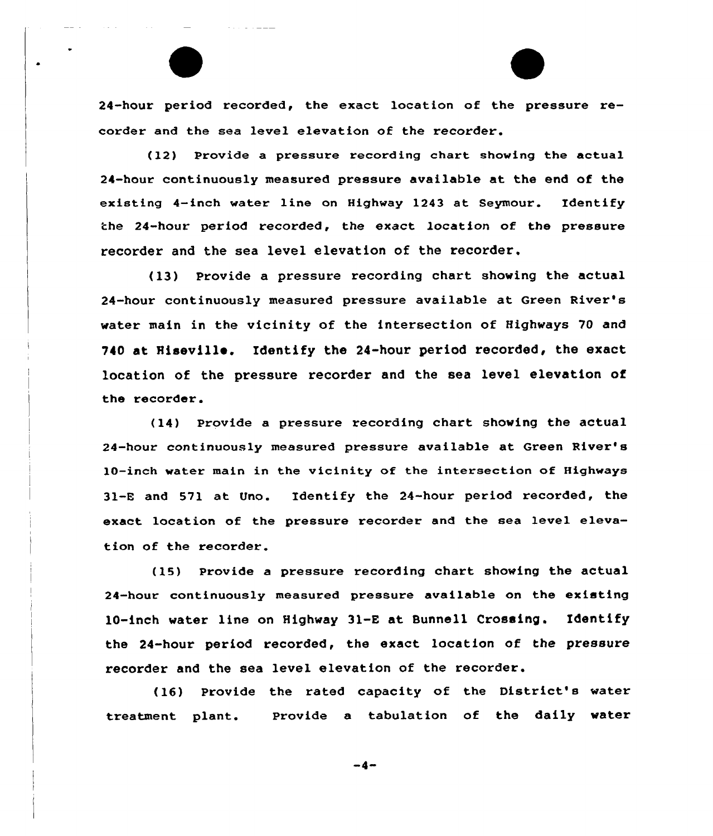24-hour period recorded, the exact location of the pressure recorder and the sea level elevation of the recorder.

(12) Provide a pressure recording chart showing the actual 24-hour continuously measured pressure available at the end of the existing 4-inch water line on Highway 1243 at Seymour. Identify the 24-hour period recorded, the exact location of the pressure recorder and the sea level elevation of the recorder.

(13) Provide a pressure recording chart showing the actual 24-hour continuously measured pressure available at Green River's water main in the vicinity of the intersection of Highways 70 and 740 at Hiseville. Identify the 24-hour period recorded, the exact location of the pressure recorder and the sea level elevation of the recorder.

(14) Provide a pressure recording chart showing the actual 24-hour continuously measured pressure available at Green River's 10-inch water main in the vicinity of the intersection of Highways 31-E and 571 at Uno. Identify the 24-hour period recorded, the exact location of the pressure recorder and the sea level elevation of the recorder.

(15) Provide a pressure recording chart showing the actual 24-hour continuously measured pressure available on the existing 10-inch water line on Highway 31-E at Bunnell Crossing. Identify the 24-hour period recorded, the exact location of the pressure recorder and the sea level elevation of the recorder.

(16) Provide the rated capacity of the District's water treatment plant. provide a tabulation of the daily water

-4-